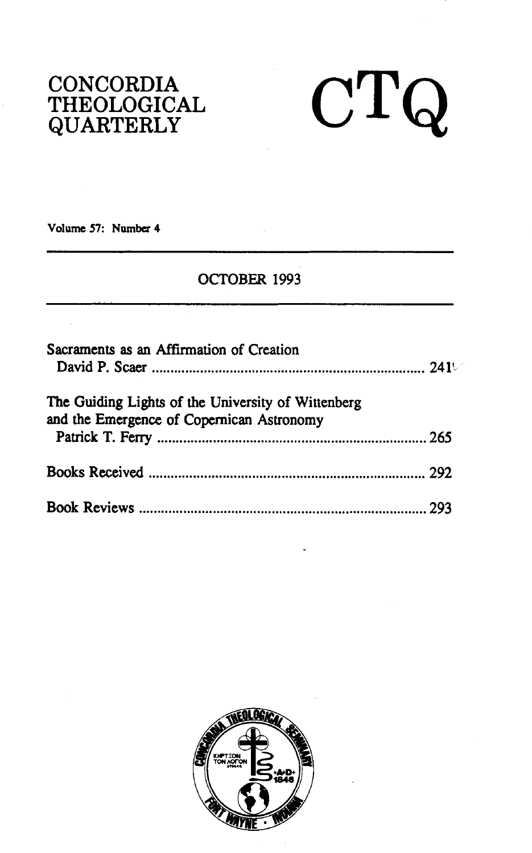### **CONCORDIA THEOLOGICAL QUARTERLY**

# $CTQ$

**Volume 57: Numbcz 4** 

#### OCTOBER 1993

| Sacraments as an Affirmation of Creation                                                        |  |
|-------------------------------------------------------------------------------------------------|--|
| The Guiding Lights of the University of Wittenberg<br>and the Emergence of Copernican Astronomy |  |
|                                                                                                 |  |
|                                                                                                 |  |

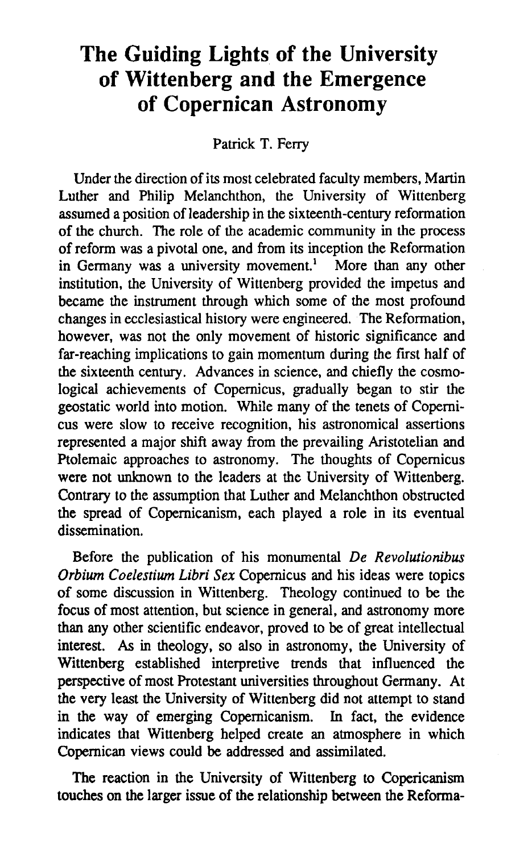## **The Guiding Lights of the University of Wittenberg and the Emergence of Copernican Astronomy**

Patrick T. Ferry

Under the direction of its most celebrated faculty members, Martin Luther and Philip Melanchthon, the University of Wittenberg assumed a position of leadership in the sixteenth-century reformation of the church. The role of the academic community in the process of reform was a pivotal one, and from its inception the Reformation in Germany was a university movement.' More than any other institution, the University of Wittenberg provided the impetus and became the instrument through which some of the most profound changes in ecclesiastical history were engineered. The Reformation, however, was not the only movement of historic significance and far-reaching implications to gain momentum during the first half of the sixteenth century. Advances in science, and chiefly the cosmological achievements of Copemicus, gradually began to stir the geostatic world into motion. While many of the tenets of Copernicus were slow to receive recognition, his astronomical assertions represented a major shift away from the prevailing Aristotelian and Ptolemaic approaches to astronomy. The thoughts of Copernicus were not unknown to the leaders at the University of Wittenberg. Contrary to the assumption that Luther and Melanchthon obstructed the spread of Copemicanism, each played a role in its eventual dissemination.

Before the publication of his monumental *De Revolutionibus Orbium Coelestium Libri Sex* Copemicus and his ideas were topics of some discussion in Wittenberg. Theology continued to be the focus of most attention, but science in general, and astronomy more than any other scientific endeavor, proved to be of great intellectual interest. As in theology, so also in astronomy, the University of Wittenberg established interpretive trends that influenced the perspective of most Protestant universities throughout Germany. At the very least the University of Wittenberg did not attempt to stand in the way of emerging Copernicanism. In fact, the evidence indicates that Wittenberg helped create an atmosphere in which Copernican views could be addressed and assimilated.

The reaction in the University of Wittenberg to Copericanism touches on the larger issue of the relationship between the Reforma-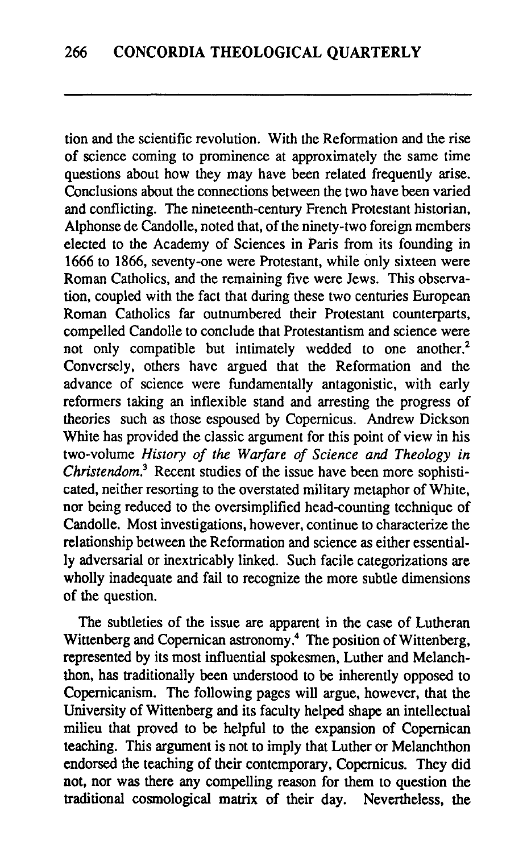tion and the scientific revolution. With the Reformation and the rise of science coming to prominence at approximately the same time questions about how they may have been related frequently arise. Conclusions about the connections between the two have been varied and conflicting. The nineteenth-century French Protestant historian, Alphonse de Candolle, noted that, of the ninety-two foreign members elected to the Academy of Sciences in Paris from its founding in 1666 to 1866, seventy-one were Protestant, while only sixteen were Roman Catholics, and the remaining five were Jews. This observation, coupled with the fact that during these two centuries European Roman Catholics far outnumbered their Protestant counterparts, compelled Candolle to conclude that Protestantism and science were not only compatible but intimately wedded to one another.<sup>2</sup> Conversely, others have argued that the Reformation and the advance of science were fundamentally antagonistic, with early reformers taking an inflexible stand and arresting the progress of theories such as those espoused by Copernicus. Andrew Dickson White has provided the classic argument for this point of view in his two-volume *History of the Warfare of Science* **and** *Theology in Christendom.*<sup>3</sup> Recent studies of the issue have been more sophisticated, neither resorting to the overstated military metaphor of White, nor being reduced to the oversimplified head-counting technique of Candolle. Most investigations, however, continue to characterize the relationship between the Reformation and science as either essentially adversarial or inextricably linked. Such facile categorizations are wholly inadequate and fail to recognize the more subtle dimensions of the question.

The subtleties of the issue are apparent in the case of Lutheran Wittenberg and Copernican astronomy.<sup>4</sup> The position of Wittenberg, represented by its most influential spokesmen, Luther and Melanchthon, has traditionally been understood to be inherently opposed to Copemicanism. The following pages will argue, however, that the University of Wittenberg and its faculty helped shape an intellectual milieu that proved to be helpful to the expansion of Copernican teaching. This argument is not to imply that Luther or Melanchthon endorsed the teaching of their contemporary, Copemicus. They did not, nor was there any compelling reason for them to question the traditional cosmological matrix of their day. Nevertheless, the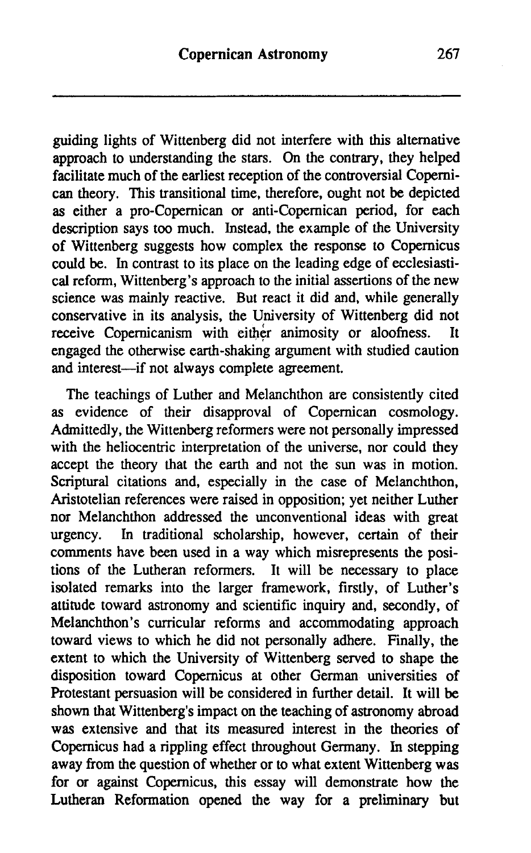guiding lights of Wittenberg did not interfere with this alternative approach to understanding the stars. On the contrary, they helped facilitate much of the earliest reception of the controversial Copernican theory. This transitional time, therefore, ought not be depicted as either a pro-Copernican or anti-Copernican period, for each description says too much. Instead, the example of the University of Wittenberg suggests how complex the response to Copernicus could be. In contrast to its place on the leading edge of ecclesiastical reform, Wittenberg's approach to the initial assertions of the new science was mainly reactive. But react it did and, while generally conservative in its analysis, the University of Wittenberg did not receive Copernicanism with either animosity or aloofness. It engaged the otherwise earth-shaking argument with studied caution and interest-if not always complete agreement.

The teachings of Luther and Melanchthon are consistently cited as evidence of their disapproval of Copemican cosmology. Admittedly, the Wittenberg reformers were not personally impressed with the heliocentric interpretation of the universe, nor could they accept the theory that the earth and not the sun was in motion. Scriptural citations and, especially in the case of Melanchthon, Aristotelian references were raised in opposition; yet neither Luther nor Melanchthon addressed the unconventional ideas with great urgency. In traditional scholarship, however, certain of their comments have been used in a way which misrepresents the positions of the Lutheran reformers. It will be necessary to place isolated remarks into the larger framework, firstly, of Luther's attitude toward astronomy and scientific inquiry and, secondly, of Melanchthon's curricular reforms and accommodating approach toward views to which he did not personally adhere. Finally, the extent to which the University of Wittenberg served to shape the disposition toward Copernicus at other German universities of Protestant persuasion will be considered in further detail. It will be shown that Wittenberg's impact on the teaching of astronomy abroad was extensive and that its measured interest in the theories of Copernicus had a rippling effect throughout Germany. In stepping away from the question of whether or to what extent Wittenberg was for or against Copernicus, this essay will demonstrate how the Lutheran Reformation opened the way for a preliminary but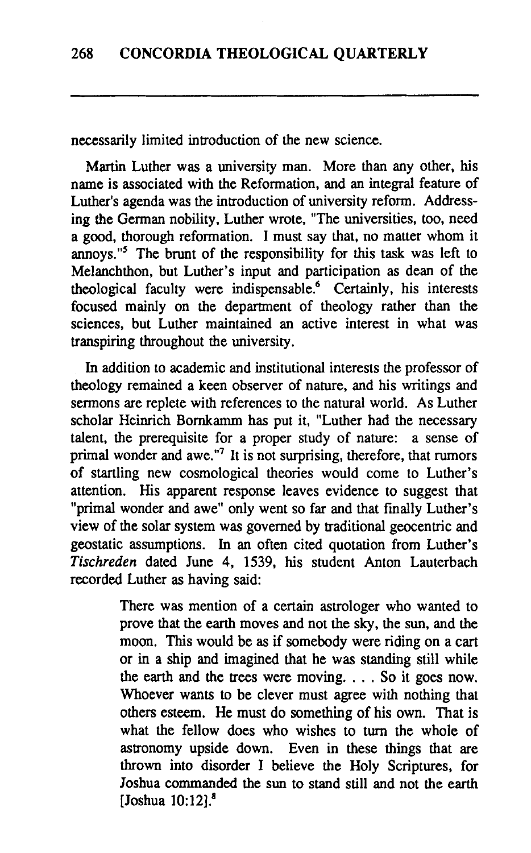necessarily limited introduction of the new science.

Martin Luther was a university man. More than any other, his name is associated with the Reformation, and an integral feature of Luther's agenda was the introduction of university reform. Addressing the German nobility, Luther wrote, "The universities, too, need a good, thorough reformation. I must say that, no matter whom it annoys."' The brunt of the responsibility for this task was left to Melanchthon, but Luther's input and participation as dean of the theological faculty were indispensable.<sup>6</sup> Certainly, his interests focused mainly on the department of theology rather than the sciences, but Luther maintained an active interest in what was transpiring throughout the university.

In addition to academic and institutional interests the professor of theology remained a keen observer of nature, and his writings and sermons are replete with references to the natural world. As Luther scholar Heinrich Bornkamm has put it, "Luther had the necessary talent, the prerequisite for a proper study of nature: a sense of primal wonder and awe."' It is not surprising, therefore, that rumors of startling new cosmological theories would come to Luther's attention. His apparent response leaves evidence to suggest that "primal wonder and awe" only went so far and that finally Luther's view of the solar system was governed by traditional geocentric and geostatic assumptions. In an often cited quotation from Luther's Tischreden dated June 4, 1539, his student Anton Lauterbach recorded Luther as having said:

> There was mention of a certain astrologer who wanted to prove that the earth moves and not the sky, the sun, and the moon. This would be as if somebody were riding on a cart or in a ship and imagined that he was standing still while the earth and the trees were moving. . . . So it goes now. Whoever wants to be clever must agree with nothing that others esteem. He must do something of his own. That is what the fellow does who wishes to turn the whole of astronomy upside down. Even in these things that are thrown into disorder I believe the Holy Scriptures, for Joshua commanded the **sun** to stand still and not the earth [Joshua **10:12].8**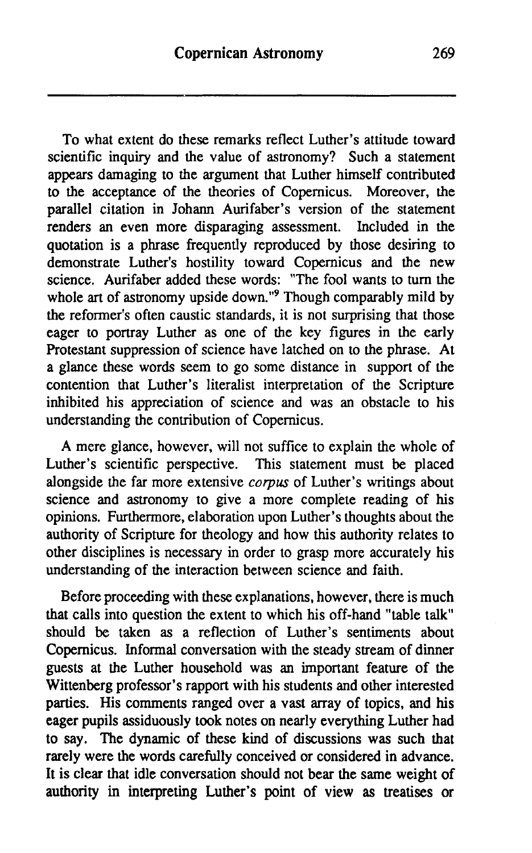To what extent do these remarks reflect Luther's attitude toward scientific inquiry and the value of astronomy? Such a statement appears damaging to the argument that Luther himself contributed to the acceptance of the theories of Copemicus. Moreover, the parallel citation in Johann Aurifaber's version of the statement renders an even more disparaging assessment. Included in the quotation is a phrase frequently reproduced by those desiring to demonstrate Luther's hostility toward Copernicus and the new science. Aurifaber added these words: "The fool wants to turn the whole art of astronomy upside down."<sup>9</sup> Though comparably mild by the reformer's often caustic standards, it is not surprising that those eager to portray Luther as one of the key figures in the early Protestant suppression of science have latched on to the phrase. At a glance these words seem to go some distance in support of the contention that Luther's literalist interpretation of the Scripture inhibited his appreciation of science and was an obstacle to his understanding the contribution of Copernicus.

A mere glance, however, will not suffice to explain the whole of Luther's scientific perspective. This statement must be placed alongside the far more extensive corpus of Luther's writings about science and astronomy to give a more complete reading of his opinions. Furthermore, elaboration upon Luther's thoughts about the authority of Scripture for theology and how this authority relates to other disciplines is necessary in order to grasp more accurately his understanding of the interaction between science and faith.

Before proceeding with these explanations, however, there is much that calls into question the extent to which his off-hand "table talk" should be taken as a reflection of Luther's sentiments about Copernicus. Informal conversation with the steady stream of dinner guests at the Luther household was an important feature of the Wittenberg professor's rapport with his students and other interested parties. His comments ranged over a vast array of topics, and his eager pupils assiduously took notes on nearly everything Luther had to say. The dynamic of these kind of discussions was such that rarely were the words carefully conceived or considered in advance. It is clear that idle conversation should not bear the same weight of authority in **interpreting Luther's point of view as treatises or**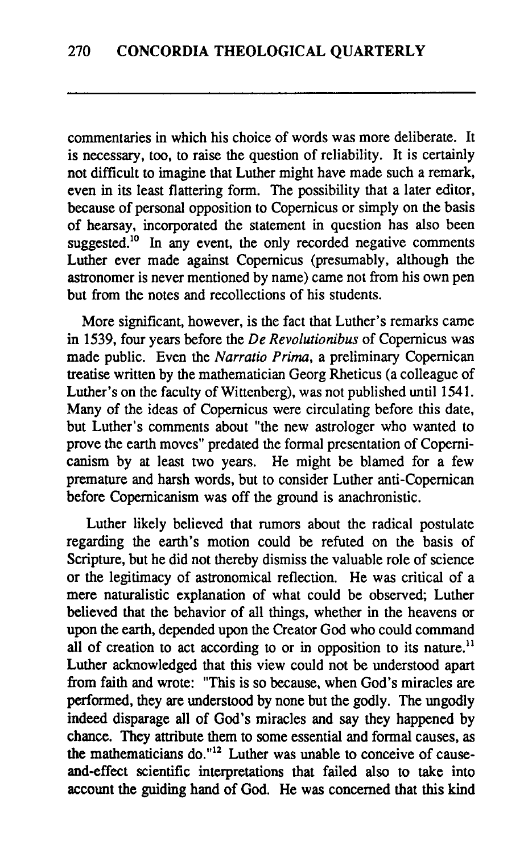commentaries in which his choice of words was more deliberate. It is necessary, too, to raise the question of reliability. It is certainly not difficult to imagine that Luther might have made such a remark, even in its least flattering form. The possibility that a later editor, because of personal opposition to Copernicus or simply on the basis of hearsay, incorporated the statement in question has also been suggested.<sup>10</sup> In any event, the only recorded negative comments Luther ever made against Copernicus (presumably, although the astronomer is never mentioned by name) came not from his own pen but from the notes and recollections of his students.

More significant, however, is the fact that Luther's remarks came in 1539, four years before the De Revolutionibus of Copemicus was made public. Even the Narratio Prima, a preliminary Copernican treatise written by the mathematician Georg Rheticus (a colleague of Luther's on the faculty of Wittenberg), was not published until 1541. Many of the ideas of Copemicus were circulating before this date, but Luther's comments about "the new astrologer who wanted to prove the earth moves" predated the formal presentation of Copemicanism by at least two years. He might be blamed for a few premature and harsh words, but to consider Luther anti-Copernican before Copemicanism was off the ground is anachronistic.

Luther likely believed that rumors about the radical postulate regarding the earth's motion could be refuted on the basis of Scripture, but he did not thereby dismiss the valuable role of science or the legitimacy of astronomical reflection. He was critical of a mere naturalistic explanation of what could be observed; Luther believed that the behavior of all things, whether in the heavens or upon the earth, depended upon the Creator God who could command all of creation to act according to or in opposition to its nature.<sup>11</sup> Luther acknowledged that this view could not be understood apart fiom faith and wrote: "This is so because, when God's miracles are performed, they are understood by none but the godly. The ungodly indeed disparage all of God's miracles and say they happened by chance. They attribute them to some essential and formal causes, as the mathematicians do."12 Luther was unable to conceive of causeand-effect scientific interpretations that failed also to take into account the guiding hand of God. He was concerned that this kind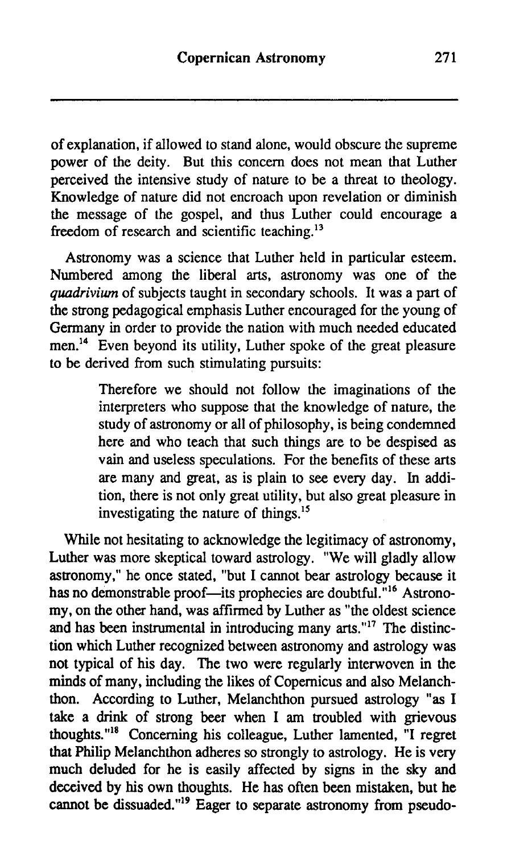of explanation, if allowed to stand alone, would obscure the supreme power of the deity. But this concern does not mean that Luther perceived the intensive study of nature to be a threat to theology. Knowledge of nature did not encroach upon revelation or diminish the message of the gospel, and thus Luther could encourage a freedom of research and scientific teaching.<sup>13</sup>

Astronomy was a science that Luther held in particular esteem. Numbered among the liberal arts, astronomy was one of the **quadrivium** of subjects taught in secondary schools. It was a part of the strong pedagogical emphasis Luther encouraged for the young of Germany in order to provide the nation with much needed educated men.<sup>14</sup> Even beyond its utility, Luther spoke of the great pleasure to be derived from such stimulating pursuits:

> Therefore we should not follow the imaginations of the interpreters who suppose that the knowledge of nature, the study of astronomy or all of philosophy, is being condemned here and who teach that such things are to be despised as vain and useless speculations. For the benefits of these arts are many and great, as is plain to see every day. In addition, there is not only great utility, but also great pleasure in investigating the nature of things.<sup>15</sup>

While not hesitating to acknowledge the legitimacy of astronomy, Luther was more skeptical toward astrology. "We will gladly allow astronomy," he once stated, "but I cannot bear astrology because it has no demonstrable proof-its prophecies are doubtful."<sup>16</sup> Astronomy, on the other hand, was affirmed by Luther as "the oldest science and has been instrumental in introducing many **arts.""** The distinction which Luther recognized between astronomy and astrology was not typical of his day. The two were regularly interwoven in the minds of many, including the likes of Copernicus and also Melanchthon. According to Luther, Melanchthon pursued astrology "as I take a drink of strong beer when I am troubled with grievous thoughts."<sup>18</sup> Concerning his colleague, Luther lamented, "I regret that Philip Melanchthon adheres so strongly to astrology. He is very much deluded for he is easily affected by signs in the sky and deceived by his own thoughts. He has often been mistaken, but he cannot be dissuaded."<sup>19</sup> Eager to separate astronomy from pseudo-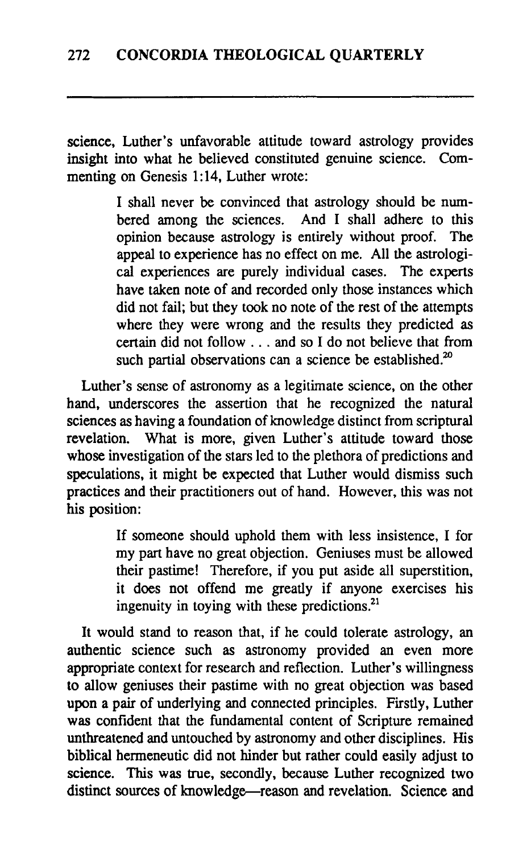science, Luther's unfavorable attitude toward astrology provides insight into what he believed constituted genuine science. Commenting on Genesis 1:14, Luther wrote:

> I shall never be convinced that astrology should be numbered among the sciences. And I shall adhere to this opinion because astrology is entirely without proof. The appeal to experience has no effect on me. All the astrological experiences are purely individual cases. The experts have taken note of and recorded only those instances which did not fail; but they took no note of the rest of the attempts where they were wrong and the results they predicted as certain did not follow . . . and so I do not believe that from such partial observations can a science be established. $20$

Luther's sense of astronomy as a legitimate science, on the other hand, underscores the assertion that he recognized the natural sciences as having a foundation of knowledge distinct from scriptural revelation. What is more, given Luther's attitude toward those What is more, given Luther's attitude toward those whose investigation of the stars led to the plethora of predictions and speculations, it might be expected that Luther would dismiss such practices and their practitioners out of hand. However, this was not his position:

> If someone should uphold them with less insistence, I for my part have no great objection. Geniuses must be allowed their pastime! Therefore, if you put aside all superstition, it does not offend me greatly if anyone exercises his ingenuity in toying with these predictions.''

It would stand to reason that, if he could tolerate astrology, an authentic science such as astronomy provided an even more appropriate context for research and reflection. Luther's willingness to allow geniuses their pastime with no great objection was based upon a pair of underlying and connected principles. Firstly, Luther was confident that the fundamental content of Scripture remained unthreatened and untouched by astronomy and other disciplines. His biblical hermeneutic did not hinder but rather could easily adjust to science. This was true, secondly, because Luther recognized two distinct sources of knowledge--reason and revelation. Science and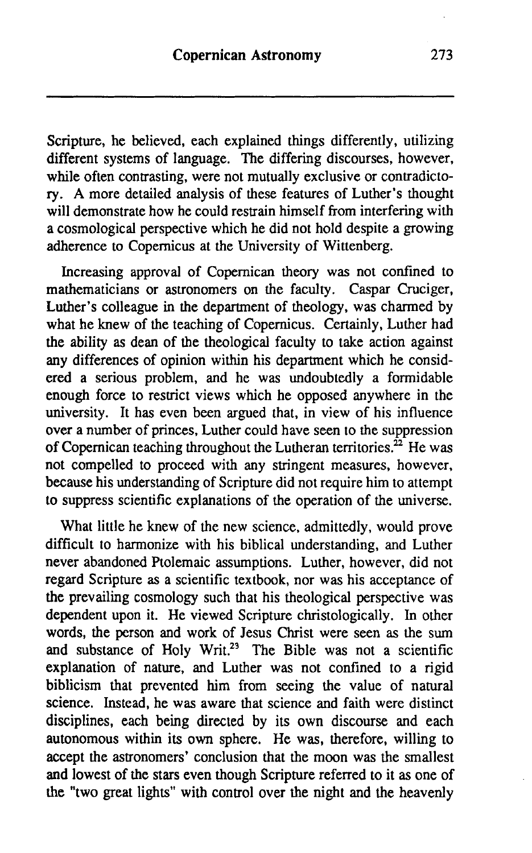Scripture, he believed, each explained things differently, utilizing different systems of language. The differing discourses, however, while often contrasting, were not mutually exclusive or contradictory. A more detailed analysis of these features of Luther's thought will demonstrate how he could restrain himself from interfering with a cosmological perspective which he did not hold despite a growing adherence to Copernicus at the University of Wittenberg.

Increasing approval of Copernican theory was not confined to mathematicians or astronomers on the faculty. Caspar Cruciger, Luther's colleague in the department of theology, was charmed by what he knew of the teaching of Copemicus. Certainly, Luther had the ability as dean of the theological faculty to take action against any differences of opinion within his department which he considered a serious problem, and he was undoubtedly a formidable enough force to restrict views which he opposed anywhere in the university. It has even been argued that, in view of his influence over a number of princes, Luther could have seen to the suppression of Copernican teaching throughout the Lutheran territories.<sup> $22$ </sup> He was not compelled to proceed with any stringent measures, however, because his understanding of Scripture did not require him to attempt to suppress scientific explanations of the operation of the universe.

What little he knew of the new science, admittedly, would prove difficult to harmonize with his biblical understanding, and Luther never abandoned Ptolemaic assumptions. Luther, however, did not regard Scripture **as** a scientific textbook, nor was his acceptance of the prevailing cosmology such that his theological perspective was dependent upon it. He viewed Scripture christologically. In other words, the person and work of Jesus Christ were seen as the sum and substance of Holy Writ.<sup>23</sup> The Bible was not a scientific explanation of nature, and Luther was not confined to a rigid biblicism that prevented him from seeing the value of natural science. Instead, he was aware that science and faith were distinct disciplines, each being directed by its own discourse and each autonomous within its own sphere. He was, therefore, willing to accept the astronomers' conclusion that the moon was the smallest and lowest of the stars even though Scripture referred to it as one of the "two great lights" with control over the night and the heavenly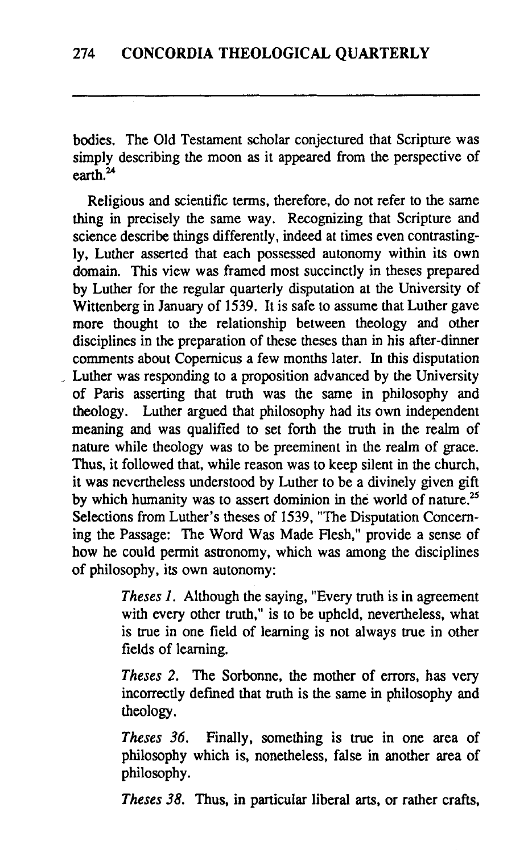bodies. The Old Testament scholar conjectured that Scripture was simply describing the moon as it appeared from the perspective of earth $^{24}$ 

Religious and scientific terms, therefore, do not refer to the same thing in precisely the same way. Recognizing that Scripture and science describe things differently, indeed at times even contrastingly, Luther asserted that each possessed autonomy within its own domain. This view was framed most succinctly in theses prepared by Luther for the regular quarterly disputation at the University of Wittenberg in January of 1539. It is safe to assume that Luther gave more thought to the relationship between theology and other disciplines in the preparation of these theses than in his after-dinner comments about Copernicus a few months later. In this disputation , Luther was responding to a proposition advanced by the University of Paris asserting that truth was the same in philosophy and theology. Luther argued that philosophy had its own independent meaning and was qualified to set forth the truth in the realm of nature while theology was to be preeminent in the realm of grace. Thus, it followed that, while reason was to keep silent in the church, it was nevertheless understood by Luther to be a divinely given gift by which humanity was to assert dominion in the world of nature.<sup>25</sup> Selections from Luther's theses of 1539, "The Disputation Concerning the Passage: The Word Was Made Flesh," provide a sense of how he could permit astronomy, which was among the disciplines of philosophy, its own autonomy:

> *Theses I.* Although the saying, "Every truth is in agreement with every other truth," is to be upheld, nevertheless, what is true in one field of learning is not always true in other fields of learning.

> *Theses 2.* The Sorbonne, the mother of errors, has very incorrectly deftned that truth is the same in philosophy and theology.

> *Theses 36.* Finally, something is true in one area of philosophy which is, nonetheless, false in another area of philosophy.

> *Theses 38.* Thus, in particular liberal arts, or rather crafts,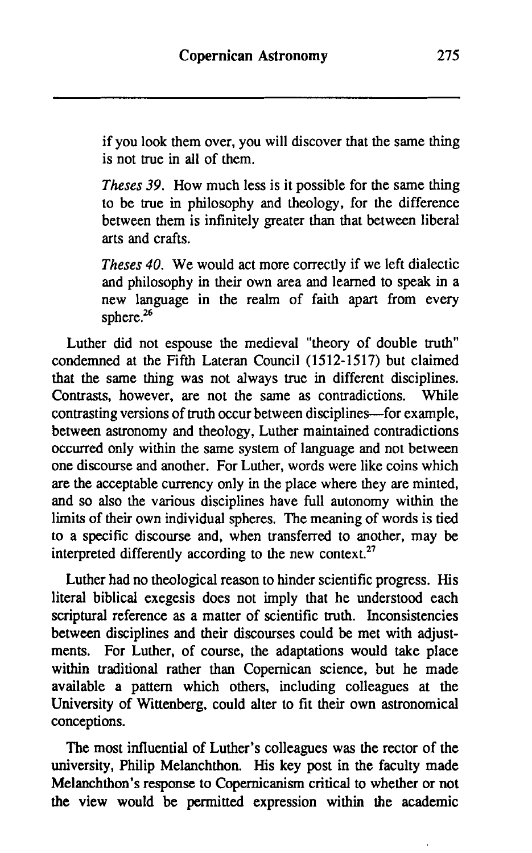if you look them over, you will discover that the same thing is not true in all of them.

*Theses 39.* How much less is it possible for the same thing to be true in philosophy and theology, for the difference between them is infinitely greater than that between liberal arts and crafts.

*Theses 40.* We would act more correctly if we left dialectic and philosophy in their own area and learned to speak in a new language in the realm of faith apart from every sphere.<sup>26</sup>

Luther did not espouse the medieval "theory of double truth" condemned at the Fifth Lateran Council **(15 12- 15 17)** but claimed that the same thing was not always true in different disciplines. Contrasts, however, are not the same as contradictions. While contrasting versions of truth occur between disciplines-for example, between astronomy and theology, Luther maintained contradictions occurred only within the same system of language and not between one discourse and another. For Luther, words were like coins which are the acceptable currency only in the place where they are minted, and so also the various disciplines have full autonomy within the limits of their own individual spheres. The meaning of words is tied to a specific discourse and, when transferred to another, may be interpreted differently according to the new context. $27$ 

Luther had no theological reason to hinder scientific progress. His literal biblical exegesis does not imply that he understood each scriptural reference as a matter of scientific truth. Inconsistencies between disciplines and their discourses could be met with adjustments. For Luther, of course, the adaptations would take place within traditional rather than Copernican science, but he made available a pattern which others, including colleagues at the University of Wittenberg, could alter to fit their own astronomical conceptions.

The most influential of Luther's colleagues was the rector of the university, Philip Melanchthon. His key post in the faculty made Melanchthon's response to Copernicanisrn critical to whether or not the view would be permitted expression within the academic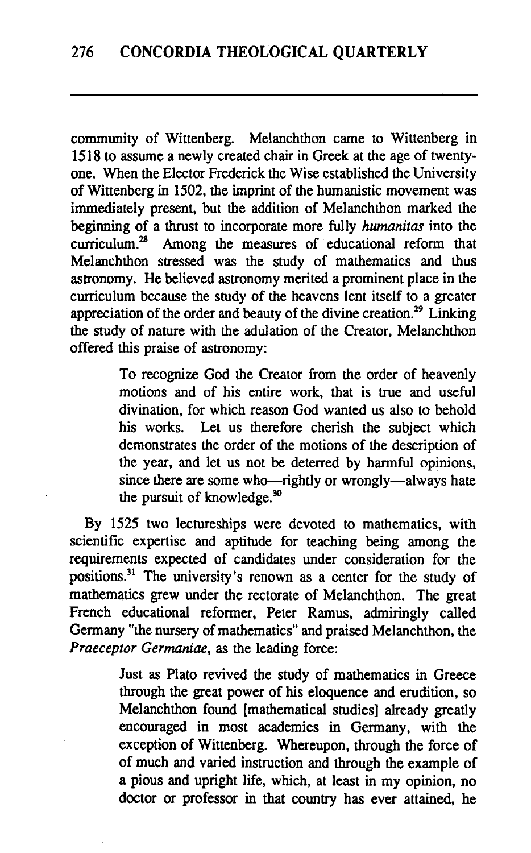community of Wittenberg. Melanchthon came to Wittenberg in 1518 to assume a newly created chair in Greek at the age of twentyone. When the Elector Frederick the Wise established the University of Wittenberg in 1502, the imprint of the humanistic movement was immediately present, but the addition of Melanchthon marked the beginning of a thrust to incorporate more fully *humanitas* into the curriculum. $^{28}$  Among the measures of educational reform that Melanchthon stressed was the study of mathematics and thus astronomy. He believed astronomy merited a prominent place in the curriculum because the study of the heavens lent itself to a greater appreciation of the order and beauty of the divine creation.29 Linking the study of nature with the adulation of the Creator, Melanchthon offered this praise of astronomy:

> To recognize God the Creator from the order of heavenly motions and of his entire work, that is true and useful divination, for which reason God wanted us also to behold his works. Let us therefore cherish the subject which demonstrates the order of the motions of the description of the year, and let us not be deterred by harmful opinions, since there are some who-rightly or wrongly-always hate the pursuit of knowledge.<sup>30</sup>

By 1525 two lectureships were devoted to mathematics, with scientific expertise and aptitude for teaching being among the requirements expected of candidates under consideration for the positions.<sup>31</sup> The university's renown as a center for the study of mathematics grew under the rectorate of Melanchthon. The great French educational reformer, Peter Ramus, admiringly called Germany "the nursery of mathematics" and praised Melanchthon, the Praeceptor Germaniae, as the leading force:

> Just as Plato revived the study of mathematics in Greece through the great power of his eloquence and erudition, so Melanchthon found [mathematical studies] already greatly encouraged in most academies in Germany, with the exception of Wittenberg. Whereupon, through the force of of much and varied instruction and through the example of a pious and upright life, which, at least in my opinion, no doctor or professor in that country has ever attained, he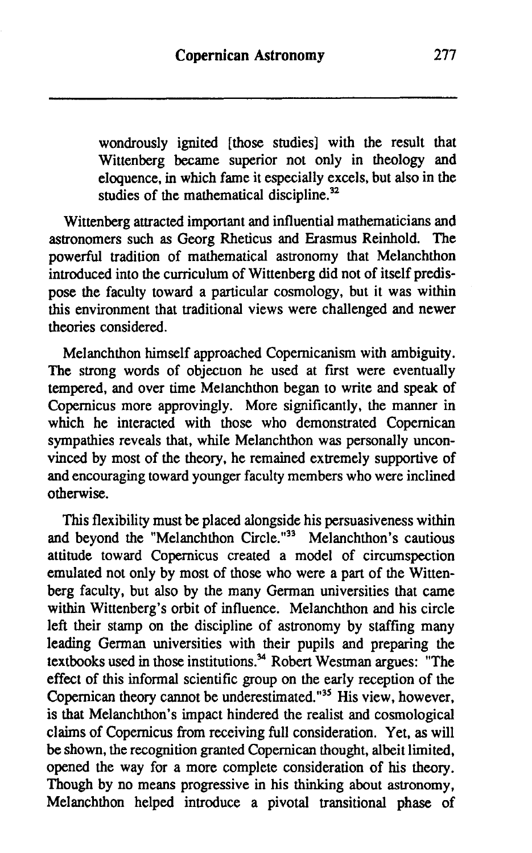wondrously ignited [those studies] with the result that Wittenberg became superior not only in theology and eloquence, in which fame it especially excels, but also in the studies of the mathematical discipline. $32$ 

Wittenberg attracted important and influential mathematicians and astronomers such as Georg Rheticus and Erasmus Reinhold. The powerful tradition of mathematical astronomy that Melanchthon introduced into the curriculum of Wittenberg did not of itself predispose the faculty toward a particular cosmology, but it was within this environment that traditional views were challenged and newer theories considered.

Melanchthon himself approached Copemicanism with ambiguity. The strong words of objection he used at first were eventually tempered, and over time Melanchthon began to write and speak of Copernicus more approvingly. More significantly, the manner in which he interacted with those who demonstrated Copernican sympathies reveals that, while Melanchthon was personally unconvinced by most of the theory, he remained extremely supportive of and encouraging toward younger faculty members who were inclined otherwise.

This flexibility must be placed alongside his persuasiveness within and beyond the "Melanchthon Circle."33 Melanchthon's cautious attitude toward Copernicus created a model of circumspection emulated not only by most of those who were a part of the Wittenberg faculty, but also by the many German universities that came within Wittenberg's orbit of influence. Melanchthon and his circle left their stamp on the discipline of astronomy by staffing many leading German universities with their pupils and preparing the textbooks used in those institutions.<sup>34</sup> Robert Westman argues: "The effect of this informal scientific group on the early reception of the Copernican theory cannot be underestimated." $^{35}$  His view, however, is that Melanchthon's impact hindered the realist and cosmological claims of Copernicus from receiving full consideration. Yet, as will be shown, the recognition granted Copemican thought, albeit limited, opened the way for a more complete consideration of his theory. Though by no means progressive in his thinking about astronomy, Melanchthon helped introduce a pivotal transitional phase of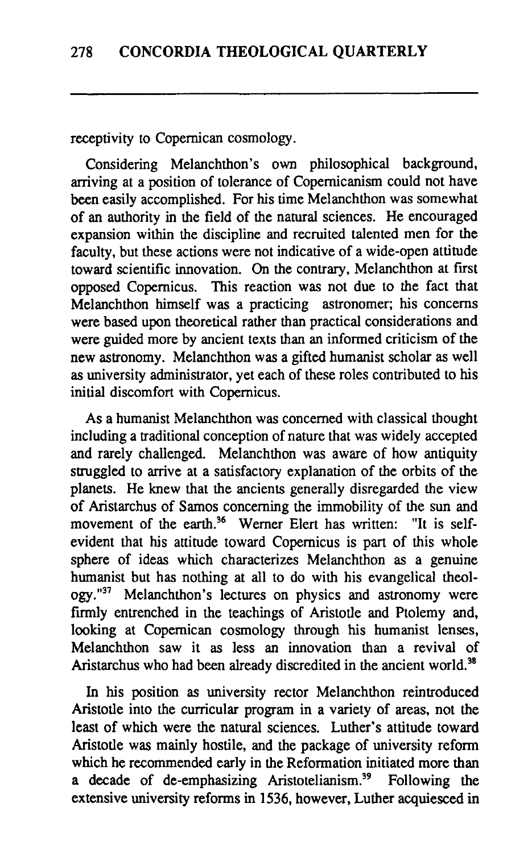receptivity to Copernican cosmology.

Considering Melanchthon's own philosophical background, arriving at a position of tolerance of Copernicanism could not have been easily accomplished. For his time Melanchthon was somewhat of an authority in the field of the natural sciences. He encouraged expansion within the discipline and recruited talented men for the faculty, but these actions were not indicative of a wide-open attitude toward scientific innovation. On the contrary, Melanchthon at first opposed Copernicus. This reaction was not due to the fact that Melanchthon himself was a practicing astronomer; his concerns were based upon theoretical rather than practical considerations and were guided more by ancient texts than an informed criticism of the new astronomy. Melanchthon was a gifted humanist scholar as well as university administrator, yet each of these roles contributed to his initial discomfort with Copernicus.

As a humanist Melanchthon was concerned with classical thought including a traditional conception of nature that was widely accepted and rarely challenged. Melanchthon was aware of how antiquity struggled to arrive at a satisfactory explanation of the orbits of the planets. He knew that the ancients generally disregarded the view of Aristarchus of Sarnos concerning the immobility of the sun and movement of the earth.<sup>36</sup> Werner Elert has written: "It is selfevident that his attitude toward Copernicus is part of this whole sphere of ideas which characterizes Melanchthon as a genuine humanist but has nothing at all to do with his evangelical theol ogy."<sup>37</sup> Melanchthon's lectures on physics and astronomy were firmly entrenched in the teachings of Aristotle and Ptolemy and, looking at Copernican cosmology through his humanist lenses, Melanchthon saw it as less an innovation than a revival of Aristarchus who had been already discredited in the ancient world.<sup>38</sup>

In his position as university rector Melanchthon reintroduced Aristotle into the curricular program in a variety of areas, not the least of which were the natural sciences. Luther's attitude toward Aristotle was mainly hostile, and the package of university reform which he recommended early in the Reformation initiated more than a decade of de-emphasizing Aristotelianism.<sup>39</sup> Following the extensive university reforms in 1536, however, Luther acquiesced in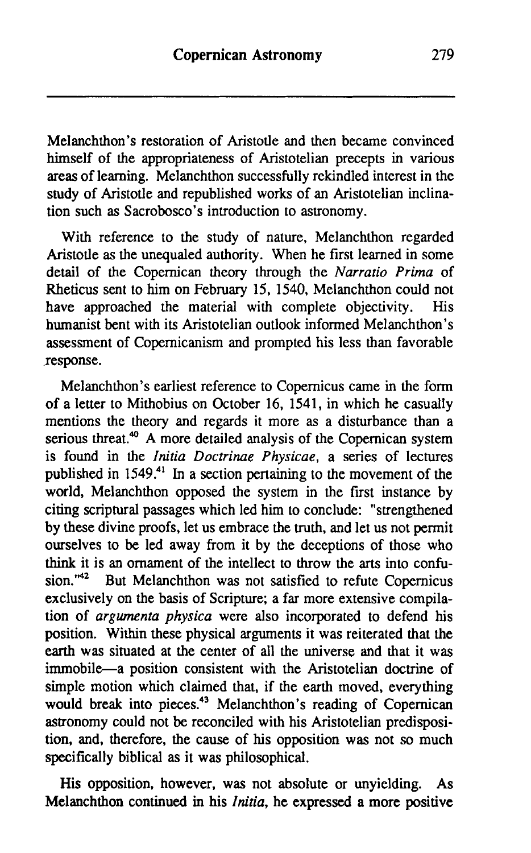Melanchthon's restoration of Aristotle and then became convinced himself of the appropriateness of Aristotelian precepts in various areas of learning. Melanchthon successfully rekindled interest in the study of Aristotle and republished works of an Aristotelian inclination such as Sacrobosco's introduction to astronomy.

With reference to the study of nature, Melanchthon regarded Aristotle as the unequaled authority. When he first learned in some detail of the Copernican theory through the Narratio Prima of Rheticus sent to him on February 15, 1540, Melanchthon could not have approached the material with complete objectivity. His have approached the material with complete objectivity. humanist bent with its Aristotelian outlook informed Melanchthon's assessment of Copemicanism and prompted his less than favorable response.

Melanchthon's earliest reference to Copernicus came in the form of a letter to Mithobius on October 16, 1541, in which he casually mentions the theory and regards it more as a disturbance than a serious threat.<sup>40</sup> A more detailed analysis of the Copernican system is found in the Initia Doctrinae Physicae, a series of lectures published in 1549.41 In a section pertaining to the movement of the world, Melanchthon opposed the system in the first instance by citing scriptural passages which led him to conclude: "strengthened by these divine proofs, let us embrace the truth, and let us not permit ourselves to be led away from it by the deceptions of those who think it is an ornament of the intellect to throw the arts into confusion  $m<sup>42</sup>$ . But Melanchthon was not satisfied to refute Conernicus But Melanchthon was not satisfied to refute Copernicus exclusively on the basis of Scripture; a far more extensive compilation of argwnenta physica were also incorporated to defend his position. Within these physical arguments it was reiterated that the earth was situated at the center of all the universe and that it was immobile-a position consistent with the Aristotelian doctrine of simple motion which claimed that, if the earth moved, everything would break into pieces.<sup>43</sup> Melanchthon's reading of Copernican astronomy could not be reconciled with his Aristotelian predisposition, and, therefore, the cause of his opposition was not so much specifically biblical as it was philosophical.

His opposition, however, was not absolute or unyielding. As Melanchthon continued in his Initia, he expressed a more positive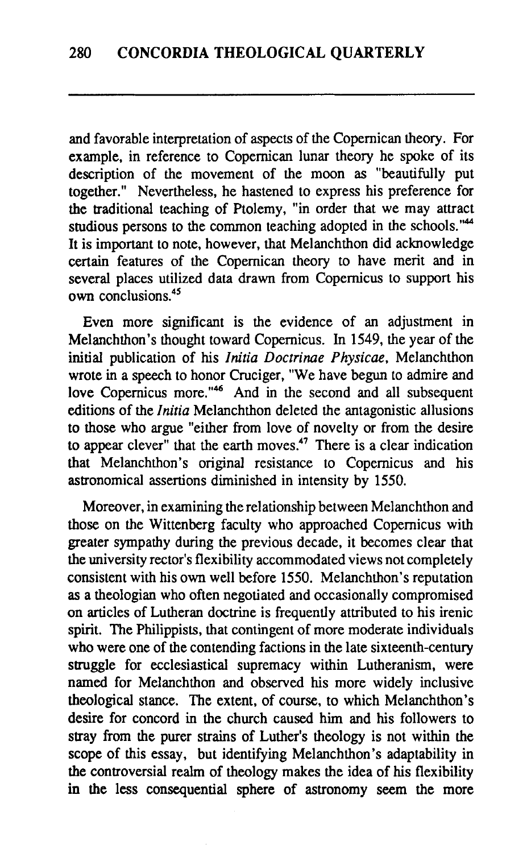and favorable interpretation of aspects of the Copernican theory. For example, in reference to Copernican lunar theory he spoke of its description of the movement of the moon as "beautifully put together." Nevertheless, he hastened to express his preference for the traditional teaching of Ptolemy, "in order that we may attract studious persons to the common teaching adopted in the schools."<sup>44</sup> It is important to note, however, that Melanchthon did acknowledge certain features of the Copernican theory to have merit and in several places utilized data drawn from Copernicus to support his  $own$  conclusions<sup> $45$ </sup>

Even more significant is the evidence of an adjustment in Melanchthon's thought toward Copernicus. In 1549, the year of the initial publication of his *Initia Doctrinue Physicae,* Melanchthon wrote in a speech to honor Cruciger, "We have begun to admire and love Copernicus more."<sup>46</sup> And in the second and all subsequent editions of the *Initia* Melanchthon deleted the antagonistic allusions to those who argue "either from love of novelty or from the desire to appear clever" that the earth moves.<sup>47</sup> There is a clear indication that Melanchthon's original resistance to Copernicus and his astronomical assertions diminished in intensity by 1550.

Moreover, in examining the relationship between Melanchthon and those on the Wittenberg faculty who approached Copernicus with greater sympathy during the previous decade, it becomes clear that the university rector's flexibility accommodated views not completely consistent with his own well before 1550. Melanchthon's reputation as a theologian who often negotiated and occasionally compromised on articles of Lutheran doctrine is frequendy attributed to his irenic spirit. The Philippists, that contingent of more moderate individuals who were one of the contending factions in the late sixteenth-century struggle for ecclesiastical supremacy within Lutheranism, were named for Melanchthon and observed his more widely inclusive theological stance. The extent, of course, to which Melanchthon's desire for concord in the church caused him and his followers to stray from the purer strains of Luther's theology is not within the scope of this essay, but identifying Melanchthon's adaptability in the controversial realm of theology makes the idea of his flexibility in the less consequential sphere of astronomy seem the more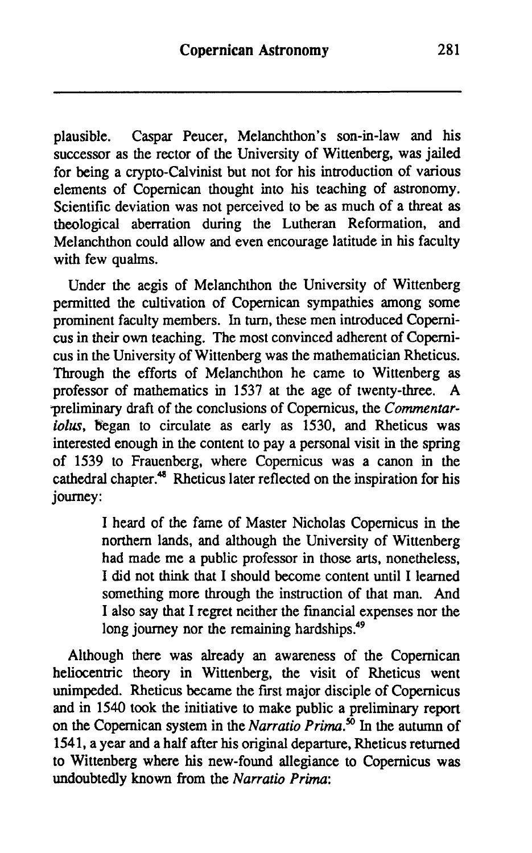plausible. Caspar Peucer, Melanchthon's son-in-law and his successor as the rector of the University of Wittenberg, was jailed for being a crypto-Calvinist but not for his introduction of various elements of Copernican thought into his teaching of astronomy. Scientific deviation was not perceived to be as much of a threat as theological aberration during the Lutheran Reformation, and Melanchthon could allow and even encourage latitude in his faculty with few qualms.

Under the aegis of Melanchthon the University of Wittenberg permitted the cultivation of Copernican sympathies among some prominent faculty members. In **turn,** these men introduced Copernicus in their own teaching. The most convinced adherent of Copernicus in the University of Wittenberg was the mathematician Rheticus. Through the efforts of Melanchthon he came to Wittenberg as professor of mathematics in 1537 at the age of twenty-three. **A**  preliminary draft of the conclusions of Copernicus, the *Comrnentariolus,* Began to circulate as early as 1530, and Rheticus was interested enough in the content to pay a personal visit in the spring of 1539 to Frauenberg, where Copernicus was a canon in the cathedral chapter.<sup>48</sup> Rheticus later reflected on the inspiration for his journey:

> I heard of the fame of Master Nicholas Copernicus in the northern lands, and although the University of Wittenberg had made me a public professor in those arts, nonetheless, I did not think that I should become content until I learned something more through the instruction of that man. And I also say that I regret neither the financial expenses nor the long journey nor the remaining hardships.<sup>49</sup>

Although there was already an awareness of the Copernican heliocentric theory in Wittenberg, the visit of Rheticus went unimpeded. Rheticus became the first major disciple of Copernicus and in 1540 took the initiative to make public a preliminary report on the Copernican system in the *Narratio Prima*.<sup>50</sup> In the autumn of 1541, a year and a half after his original departure, Rheticus returned to Wittenberg where his new-found allegiance to Copernicus was undoubtedly known from the *Narratio Prima:*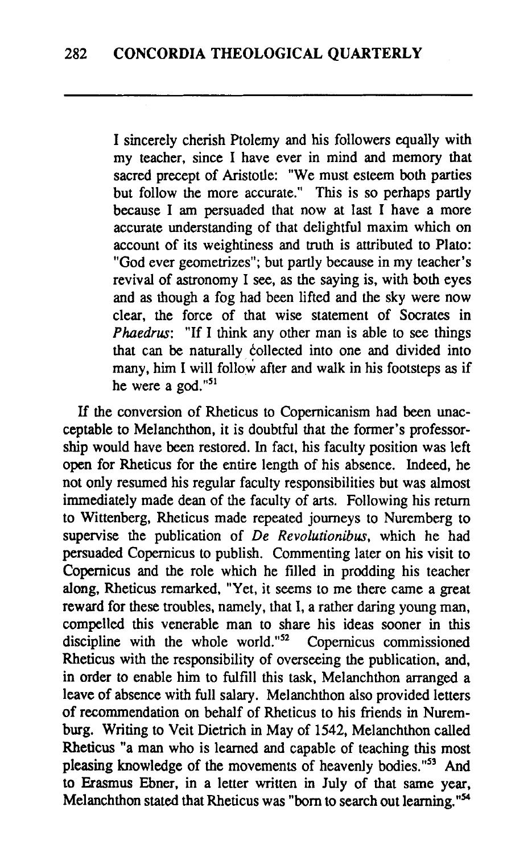I sincerely cherish Ptolemy and his followers equally with my teacher, since I have ever in mind and memory that sacred precept of Aristotle: "We must esteem both parties but follow the more accurate." This is so perhaps partly because I am persuaded that now at last I have a more accurate understanding of that delightful maxim which on account of its weightiness and truth is attributed to Plato: "God ever geometrizes"; but partly because in my teacher's revival of astronomy I see, as the saying is, with both eyes and as though a fog had been lifted and the sky were now clear, the force of that wise statement of Socrates in Phaedrus: "If I think any other man is able to see things that can be naturally collected into one and divided into many, him I will follow after and walk in his footsteps as if he were a god."51

If the conversion of Rheticus to Copemicanism had been unacceptable to Melanchthon, it is doubtful that the former's professorship would have been restored. In fact, his faculty position was left open for Rheticus for the entire length of his absence. Indeed, he not only resumed his regular faculty responsibilities but was almost immediately made dean of the faculty of arts. Following his return to Wittenberg, Rheticus made repeated journeys to Nuremberg to supervise the publication of De Revolutionibus, which he had persuaded Copernicus to publish. Commenting later on his visit to Copernicus and the role which he filled in prodding his teacher along, Rheticus remarked, "Yet, it seems to me there came a great reward for these troubles, namely, that I, a rather daring young man, compelled this venerable man to share his ideas sooner in this discipline with the whole world." $52$  Copernicus commissioned discipline with the whole world." $52$ Rheticus with the responsibility of overseeing the publication, and, in order to enable him to fulfill this task, Melanchthon arranged a leave of absence with full salary. Melanchthon also provided letters of recommendation on behalf of Rheticus to his friends in Nuremburg. Writing to Veit Dietrich in May of 1542, Melanchthon called Rheticus "a man who is learned and capable of teaching this most pleasing knowledge of the movements of heavenly bodies."53 And to Erasmus Ebner, in a letter written in July of that same year, Melanchthon stated that Rheticus was "born to search out learning."<sup>54</sup>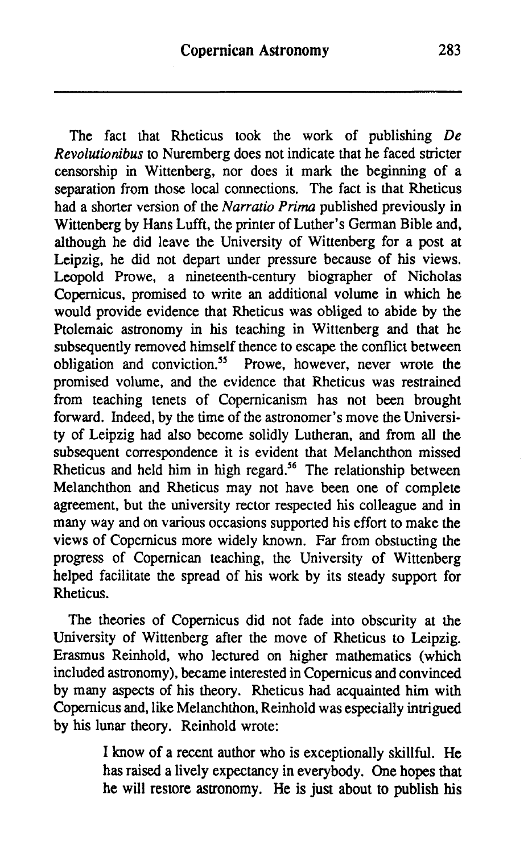The fact that Rheticus took the work of publishing *De Revolutionibus* to Nuremberg does not indicate that he faced stricter censorship in Wittenberg, nor does it mark the beginning of a separation from those local connections. The fact is that Rheticus had a shorter version of the *Narratio Prima* published previously in Wittenberg by Hans Lufft, the printer of Luther's German Bible and, although he did leave the University of Wittenberg for a post at Leipzig, he did not depart under pressure because of his views. Leopold Prowe, a nineteenth-century biographer of Nicholas Copernicus, promised to write an additional volume in which he would provide evidence that Rheticus was obliged to abide by the Ptolemaic astronomy in his teaching in Wittenberg and that he subsequently removed himself thence to escape the conflict between obligation and conviction. $55$  Prowe, however, never wrote the promised volume, and the evidence that Rheticus was restrained from teaching tenets of Copemicanism has not been brought forward. Indeed, by the time of the astronomer's move the University of Leipzig had also become solidly Lutheran, and from all the subsequent correspondence it is evident that Melanchthon missed Rheticus and held him in high regard.<sup>56</sup> The relationship between Melanchthon and Rheticus may not have been one of complete agreement, but the university rector respected his colleague and in many way and on various occasions supported his effort to make the views of Copemicus more widely known. Far from obstucting the progress of Copemican teaching, the University of Wittenberg helped facilitate the spread of his work by its steady support for Rheticus.

The theories of Copernicus did not fade into obscurity at the University of Wittenberg after the move of Rheticus to Leipzig. Erasmus Reinhold, who lectured on higher mathematics (which included astronomy), became interested in Copernicus and convinced by many aspects of his theory. Rheticus had acquainted him with Copernicus and, like Melanchthon, Reinhold was especially intrigued by his lunar theory. Reinhold wrote:

> I know of a recent author who is exceptionally skillful. He has raised a lively expectancy in everybody. One hopes that he will restore astronomy. He is just about to publish his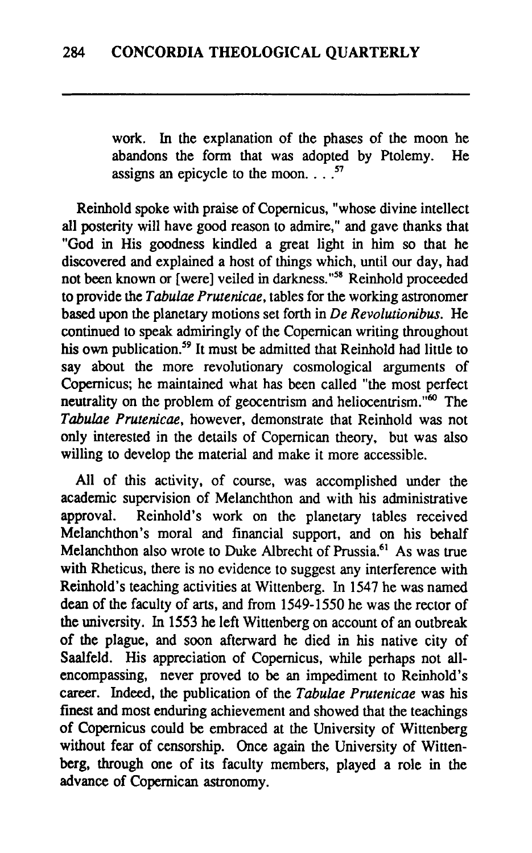work. In the explanation of the phases of the moon he abandons the form that was adopted by Ptolemy. He assigns an epicycle to the moon.  $\cdot$  . .<sup>57</sup>

Reinhold spoke with praise of Copernicus, "whose divine intellect all posterity will have good reason to admire," and gave thanks that **"God** in His goodness kindled a great light in him so that he discovered and explained a host of things which, until our day, had not been known or [were] veiled in darkness."58 Reinhold proceeded to provide the Tabulae Prutenicae, tables for the working astronomer based upon the planetary motions set forth in De Revolutionibus. He continued to speak admiringly of the Copernican writing throughout his own publication.<sup>59</sup> It must be admitted that Reinhold had little to say about the more revolutionary cosmological arguments of Copernicus; he maintained what has been called "the most perfect neutrality on the problem of geocentrism and heliocentrism. $\frac{1}{100}$  The Tabulae Prutenicae, however, demonstrate that Reinhold was not only interested in the details of Copernican theory, but was also willing to develop the material and make it more accessible.

All of this activity, of course, was accomplished under the academic supervision of Melanchthon and with his administrative approval. Reinhold's work on the planetary tables received Melanchthon's moral and financial support, and on his behalf Melanchthon also wrote to Duke Albrecht of Prussia.<sup>61</sup> As was true with Rheticus, there is no evidence to suggest any interference with Reinhold's teaching activities at Wittenberg. In 1547 he was named dean of the faculty of arts, and from 1549-1550 he was the rector of the university. In 1553 he left Wittenberg on account of an outbreak of the plague, and soon afterward he died in his native city of Saalfeld. His appreciation of Copernicus, while perhaps not allencompassing, never proved to be an impediment to Reinhold's career. Indeed, the publication of the Tabulae Prutenicae was his finest and most enduring achievement and showed that the teachings of Copernicus could be embraced at the University of Wittenberg without fear of censorship. Once again the University of Wittenberg, through one of its faculty members, played a role in the advance of Copernican astronomy.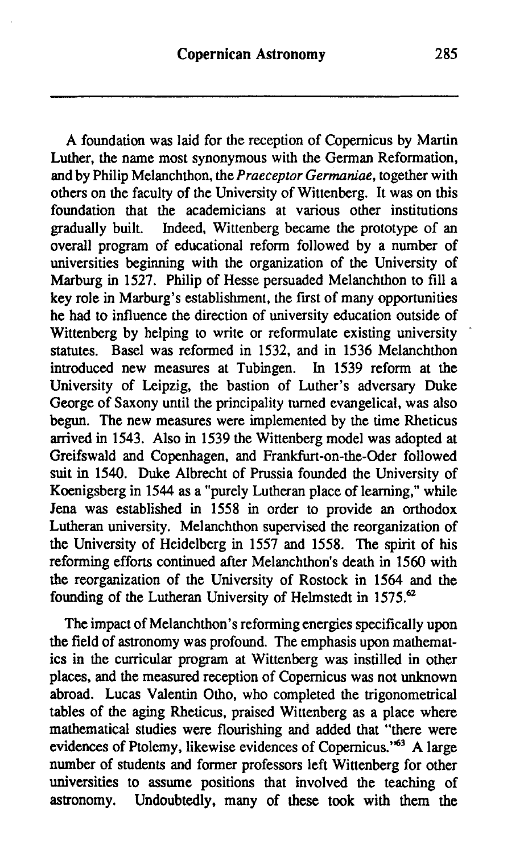A foundation was laid for the reception of Copernicus by Martin Luther, the name most synonymous with the German Reformation, and by Philip Melanchthon, the Praeceptor Germaniae, together with others on the faculty of the University of Wittenberg. It was on this foundation that the academicians at various other institutions gradually built. Indeed, Wittenberg became the prototype of an Indeed, Wittenberg became the prototype of an overall program of educational reform followed by a number of universities beginning with the organization of the University of Marburg in **1527.** Philip of Hesse persuaded Melanchthon to fill a key role in Marburg's establishment, the first of many opportunities he had to influence the direction of university education outside of Wittenberg by helping to write or reformulate existing university statutes. Basel was reformed in **1532,** and in **1536** Melanchthon introduced new measures at Tubingen. University of Leipzig, the bastion of Luther's adversary Duke George of Saxony until the principality turned evangelical, was also **begun.** The new measures were implemented by the time Rheticus arrived in **1543.** Also in **1539** the Wittenberg model was adopted at Greifswald and Copenhagen, and Frankfurt-on-the-Oder followed suit in **1540.** Duke Albrecht of Prussia founded the University of Koenigsberg in **1544** as a "purely Lutheran place of learning," while Jena was established in **1558** in order to provide an orthodox Lutheran university. Melanchthon supervised the reorganization of the University of Heidelberg in **1557** and **1558.** The spirit of his reforming efforts continued after Melanchthon's death in **1560** with the reorganization of the University of Rostock in **1564** and the founding of the Lutheran University of Helmstedt in **1575.62** 

The impact of Melanchthon's reforming energies specifically upon the field of astronomy was profound. The emphasis upon mathematics in the curricular program at Wittenberg was instilled in other places, and the measured reception of Copernicus was not unknown abroad. Lucas Valentin Otho, who completed the trigonometrical tables of the aging Rheticus, praised Wittenberg as a place where mathematical studies were flourishing and added that "there were evidences of Ptolemy, likewise evidences of Copernicus." $6^3$  A large number of students and former professors left Wittenberg for other universities to assume positions that involved the teaching of astronomy. Undoubtedly, many of these took with them the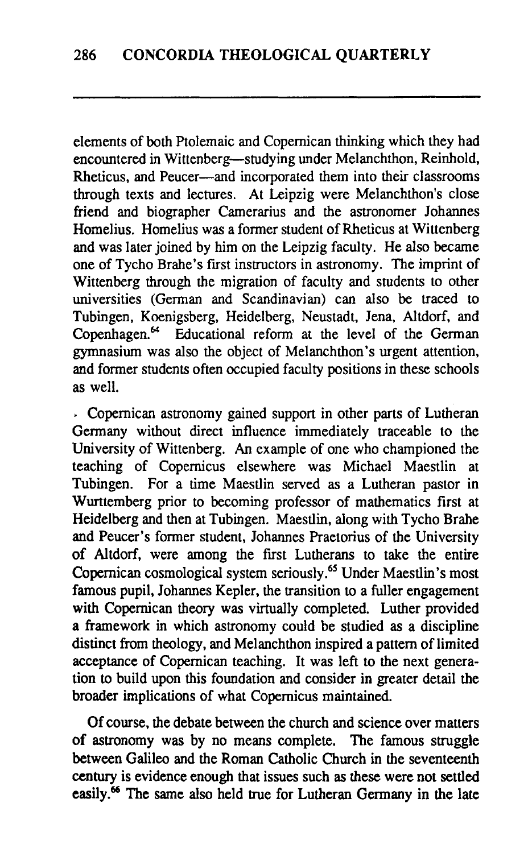elements of both Ptolemaic and Copernican thinking which they had encountered in Wittenberg-studying under Melanchthon, Reinhold, Rheticus, and Peucer-and incorporated them into their classrooms through texts and lectures. At Leipzig were Melanchthon's close friend and biographer Camerarius and the astronomer Johannes Homelius. Homelius was a former student of Rheticus at Wittenberg and was later joined by him on the Leipzig faculty. He also became one of Tycho Brahe's first instructors in astronomy. The imprint of Wittenberg through the migration of faculty and students to other universities (German and Scandinavian) can also be traced to Tubingen, Koenigsberg, Heidelberg, Neustadt, Jena, Altdorf, and Copenhagen.<sup>64</sup> Educational reform at the level of the German gymnasium was also the object of Melanchthon's urgent attention, and former students often occupied faculty positions in these schools as well.

. Copernican astronomy gained support in other parts of Lutheran Germany without direct influence immediately traceable to the University of Wittenberg. An example of one who championed the teaching of Copernicus elsewhere was Michael Maestlin at Tubingen. For a time Maestlin served as a Lutheran pastor in Wurttemberg prior to becoming professor of mathematics first at Heidelberg and then at Tubingen. Maestlin, along with Tycho Brahe and Peucer's former student, Johannes Praetorius of the University of Altdorf, were among the first Lutherans to take the entire Copernican cosmological system seriously.65 Under Maestlin's most famous pupil, Johannes Kepler, the transition to a fuller engagement with Copernican theory was virtually completed. Luther provided a framework in which astronomy could be studied as a discipline distinct from theology, and Melanchthon inspired a pattern of limited acceptance of Copernican teaching. It was left to the next generation to build upon this foundation and consider in greater detail the broader implications of what Copernicus maintained.

Of course, the debate between the church and science over matters of astronomy was by no means complete. The famous struggle between Galileo and the Roman Catholic Church in the seventeenth **century** is evidence enough that issues such as these were not settled easily.<sup>66</sup> The same also held true for Lutheran Germany in the late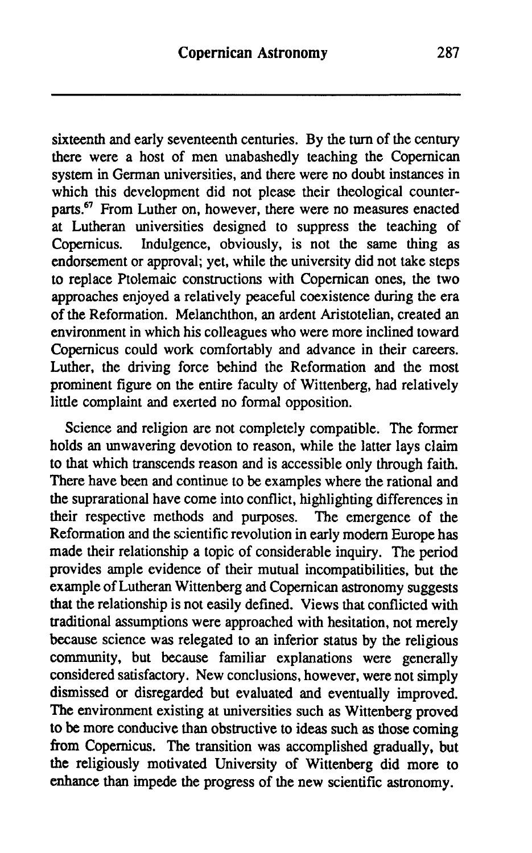sixteenth and early seventeenth centuries. By the turn of the century there were a host of men unabashedly teaching the Copernican system in German universities, and there were no doubt instances in which this development did not please their theological counterparts.<sup>67</sup> From Luther on, however, there were no measures enacted at Lutheran universities designed to suppress the teaching of Copernicus. Indulgence, obviously, is not the same thing as Indulgence, obviously, is not the same thing as endorsement or approval; yet, while the university did not take steps to replace Ptolemaic constructions with Copernican ones, the two approaches enjoyed a relatively peaceful coexistence during the era of the Reformation. Melanchthon, an ardent Aristotelian, created an environment in which his colleagues who were more inclined toward Copemicus could work comfortably and advance in their careers. Luther, the driving force behind the Reformation and the most prominent figure on the entire faculty of Wittenberg, had relatively little complaint and exerted no formal opposition.

Science and religion are not completely compatible. The former holds an unwavering devotion to reason, while the latter lays claim to that which transcends reason and is accessible only through faith. There have been and continue to be examples where the rational and the suprarational have come into conflict, highlighting differences in their respective methods and purposes. The emergence of the Reformation and the scientific revolution in early modem Europe has made their relationship a topic of considerable inquiry. The period provides ample evidence of their mutual incompatibilities, but the example of Lutheran Wittenberg and Copernican astronomy suggests that the relationship is not easily defined. Views that conflicted with traditional assumptions were approached with hesitation, not merely because science was relegated to an inferior status by the religious community, but because familiar explanations were generally considered satisfactory. New conclusions, however, were not simply dismissed or disregarded but evaluated and eventually improved. The environment existing at universities such as Wittenberg proved to be more conducive than obstructive to ideas such as those coming from Copernicus. The transition was accomplished gradually, but the religiously motivated University of Wittenberg did more to enhance than impede the progress of the new scientific astronomy.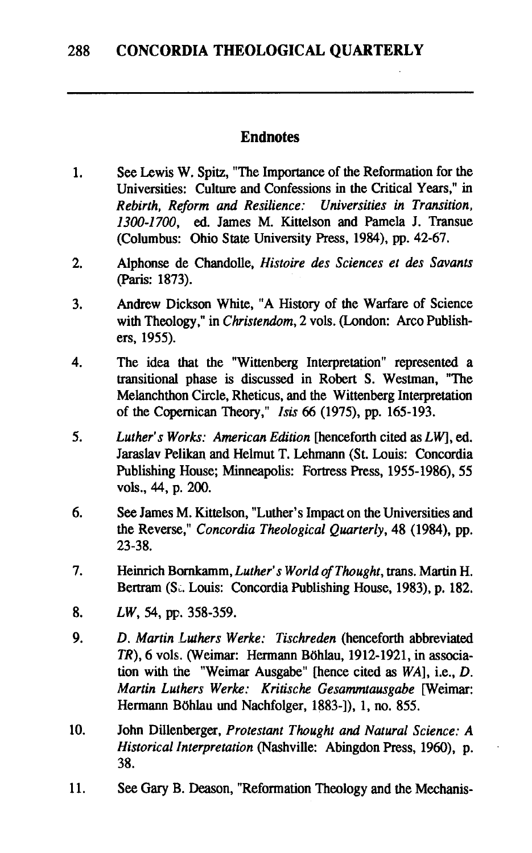#### **Endnotes**

- See Lewis W. Spitz, "The Importance of the Reformation for the 1. Universities: Culture and Confessions in the Critical Years," in Rebirth, Reform and Resilience: Universities in Transition, 1300-1700, **ed.** James M. Kittelson and Pamela J. Transue (Columbus: Ohio State University Press, 1984), **pp.** 42-67.
- $2.$ Alphonse de Chandolle, Histoire des Sciences et des Savants (Pan's: 1873).
- Andrew Dickson White, "A History of the Warfare of Science 3. with Theology," in *Christendom*, 2 vols. (London: Arco Publishers, 1955).
- $\boldsymbol{4}$ . The idea that the "Wittenberg Interpretation" represented a transitional phase is discussed in Robert S. Westman, "The Melanchthon Circle, Rheticus, and the Wittenberg Interpretation of the Copernican Theory," Isis 66 (1975), pp. 165-193.
- 5. Luther's Works: American Edition [henceforth cited as LW], **ed.**  Jaraslav Pelikan and Helmut T. Lehmann (St. Louis: Concordia Publishing House; Minneapolis: Fortress Press, 1955-1986), 55 vols., 44, p. 200.
- 6. See James M. Kittelson, "Luther's Impact on the Universities and the Reverse," Concordia Theological Quarterly, 48 (1984). pp. 23-38.
- 7. Heinrich Bornkamm, Luther's World of Thought, trans. Martin H. Bertram (S., Louis: Concordia Publishing House, 1983), p. 182.
- LW, 54, **pc.** 358-359. 8.
- 9. D. Martin Luthers Werke: Tischreden (henceforth abbreviated TR), 6 vols. (Weimar: Hermann Böhlau, 1912-1921, in association with the "Weimar Ausgabe" [hence cited as WA], i.e., D. Martin Luthers Werke: Kritische Gesammtausgabe [Weimar: Hermann Böhlau und Nachfolger, 1883-]), 1, no. 855.
- 10. John Dillenberger, Protestant Thought and Natural Science: A Historical Interpretation (Nashville: Abingdon Press, 1960), p. 38.
- 11. See **Gary** B. Deason, "Reformation Theology and the Mechanis-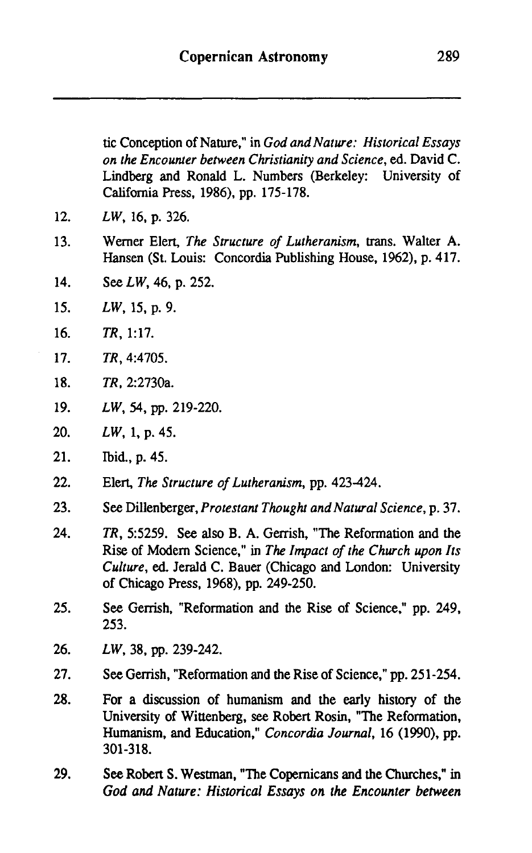| tic Conception of Nature," in God and Nature: Historical Essays |  |  |
|-----------------------------------------------------------------|--|--|
| on the Encounter between Christianity and Science, ed. David C. |  |  |
| Lindberg and Ronald L. Numbers (Berkeley: University of         |  |  |
| California Press, 1986), pp. 175-178.                           |  |  |

- $12<sub>1</sub>$ LW, 16, p. 326.
- 13. Werner Elert, The Structure of Lutheranism, trans. Walter **A.**  Hansen (St. Louis: Concordia Publishing House, 1962), p. 417.
- $14.$ See LW, 46, p. 252.
- $15<sub>1</sub>$ LW, 15, p. 9.
- $16.$ TR, 1:17.
- $17<sub>1</sub>$ TR, 4:4705.
- 18. TR, 2:2730a.
- LW, 54, pp. 219-220. 19.
- 20. LW, 1, p. 45.
- $21.$ Ibid., p. 45.
- $22.$ Elert, The Structure of Lutheranism, pp. 423-424.
- 23. See Dillenberger, Protestant Thought and Natural Science, p. 37.
- $24.$ TR, 5:5259. See also B. A. Gerrish, "The Reformation and the Rise of Modem Science," in The Impact of the Church upon Its Culture, **ed.** Jerald C. Bauer (Chicago and London: University of Chicago Press, 1968). pp. 249-250.
- 25. See Gerrish, "Reformation and the Rise of Science," pp. 249, 253.
- 26. LW, 38, pp. 239-242.
- 27. See Gerrish, "Reformation and the Rise of Science," pp. 251-254.
- 28. For a discussion of humanism and the early history of the University of Wittenberg, see Robert Rosin, "The Reformation, Humanism, and Education," Concordia Journal, 16 (1990). pp. 301-318.
- 29. **See** Robert S. Westman, "The Copemicans and the Churches," in God and Nature: Historical Essays on the Encounter between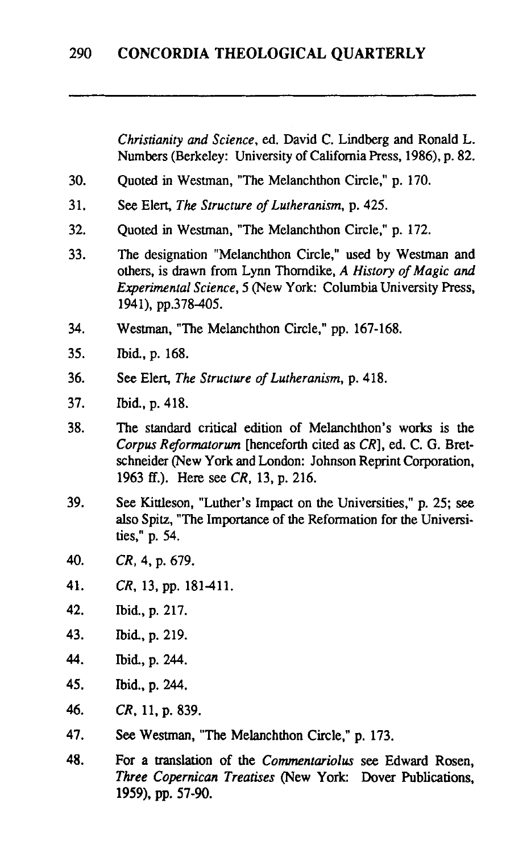*Christianity* **and** *Science,* **ed.** David C. Lindberg and Ronald L. Numbers (Berkeley: University of California Press, **1986), p. 82.** 

- $30<sub>1</sub>$ Quoted **in** Westman, "The Melanchthon Circle," **p. 170.**
- $31$ See Elert, *The Structure of Lutheranism,* **p. 425.**
- 32. Quoted **in** Westman. "The Melanchthon Circle," **p. 172.**
- $33<sub>1</sub>$ The designation "Melanchthon Circle," used by Westman and others, is drawn from Lynn Thorndike, A *History of Magic and Experimental Science,* **5** (New York: Columbia University Press, **1941), pp.378405.**
- 34. Westman, "The Melanchthon Circle," **pp. 167-168.**
- 35. Ibid., **p. 168.**
- 36. See Elert, *The Structure of Lutheranism,* **p. 418.**
- 37. bid., **p. 418.**
- 38. The standard critical edition of Melanchthon's works is the *Corpus Reformatorum* [henceforth cited as *CR],* ed. C. *G.* Bretschneider (New York and London: Johnson Reprint Corporation, **1963** ff.). Here **see** *CR,* **13, p. 216.**
- 39. See Kittleson, "Luther's Impact on the Universities," **p. 25;** see also **Spitz,** "The Importance of the Reformation for the Universities," p. 54.
- 40. *CR,* **4, p. 679.**
- 41. *CR,* **13, pp. 181411.**
- 42. bid., **p. 217.**
- 43. Ibid. **p. 219.**
- 44 Ibid, **p. 244.**
- 45. Ibid., **p. 244.**
- 46. *CR,* **11, p. 839.**
- 47. **See** Westman, "The Melanchthon Circle," p. **173.**
- 48. **For a** translation of the *Commentariolus* see Edward Rosen, *Three Copernican Treatises* (New **York: Dover** Publications. 1959), pp. 57-90.